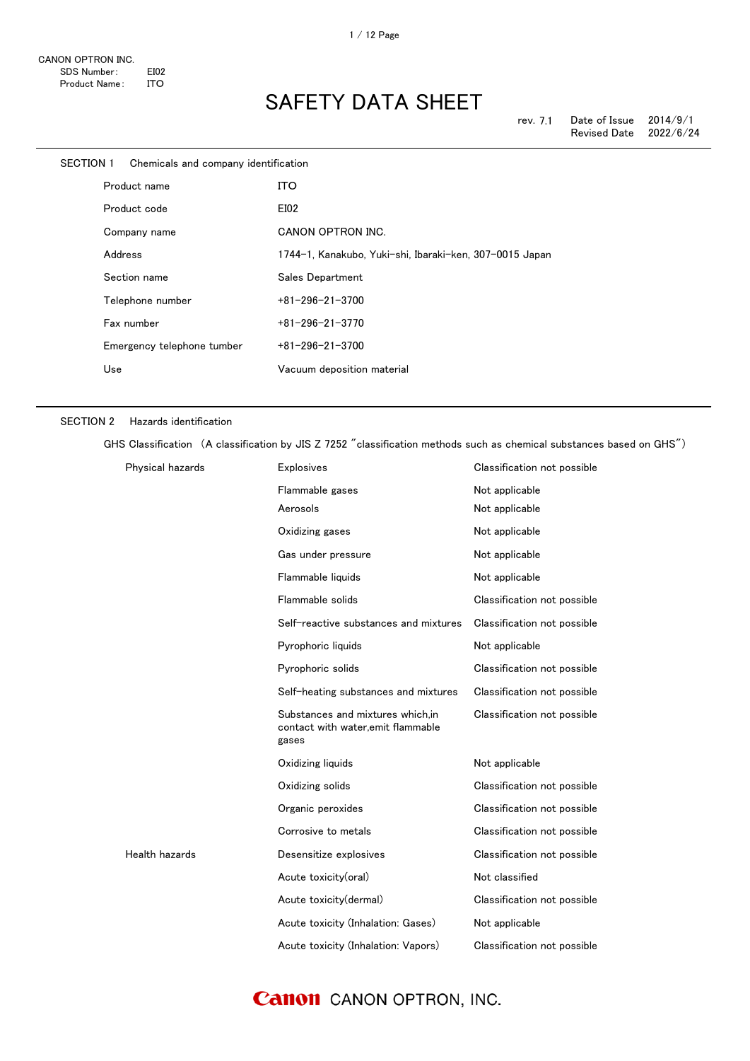| SECTION 1    |         | Chemicals and company identification |                                                         |
|--------------|---------|--------------------------------------|---------------------------------------------------------|
| Product name |         |                                      | <b>ITO</b>                                              |
|              |         | Product code                         | EI02                                                    |
|              |         | Company name                         | CANON OPTRON INC.                                       |
|              | Address |                                      | 1744-1, Kanakubo, Yuki-shi, Ibaraki-ken, 307-0015 Japan |
|              |         | Section name                         | Sales Department                                        |
|              |         | Telephone number                     | $+81 - 296 - 21 - 3700$                                 |
|              |         | Fax number                           | $+81 - 296 - 21 - 3770$                                 |
|              |         | Emergency telephone tumber           | $+81 - 296 - 21 - 3700$                                 |
|              | Use     |                                      | Vacuum deposition material                              |
|              |         |                                      |                                                         |

### SECTION 2 Hazards identification

GHS Classification (A classification by JIS Z 7252 "classification methods such as chemical substances based on GHS")

| Physical hazards | Explosives                                                                      | Classification not possible |
|------------------|---------------------------------------------------------------------------------|-----------------------------|
|                  | Flammable gases                                                                 | Not applicable              |
|                  | Aerosols                                                                        | Not applicable              |
|                  | Oxidizing gases                                                                 | Not applicable              |
|                  | Gas under pressure                                                              | Not applicable              |
|                  | Flammable liquids                                                               | Not applicable              |
|                  | Flammable solids                                                                | Classification not possible |
|                  | Self-reactive substances and mixtures                                           | Classification not possible |
|                  | Pyrophoric liquids                                                              | Not applicable              |
|                  | Pyrophoric solids                                                               | Classification not possible |
|                  | Self-heating substances and mixtures                                            | Classification not possible |
|                  | Substances and mixtures which.in<br>contact with water, emit flammable<br>gases | Classification not possible |
|                  | Oxidizing liquids                                                               | Not applicable              |
|                  | Oxidizing solids                                                                | Classification not possible |
|                  | Organic peroxides                                                               | Classification not possible |
|                  | Corrosive to metals                                                             | Classification not possible |
| Health hazards   | Desensitize explosives                                                          | Classification not possible |
|                  | Acute toxicity(oral)                                                            | Not classified              |
|                  | Acute toxicity(dermal)                                                          | Classification not possible |
|                  | Acute toxicity (Inhalation: Gases)                                              | Not applicable              |
|                  | Acute toxicity (Inhalation: Vapors)                                             | Classification not possible |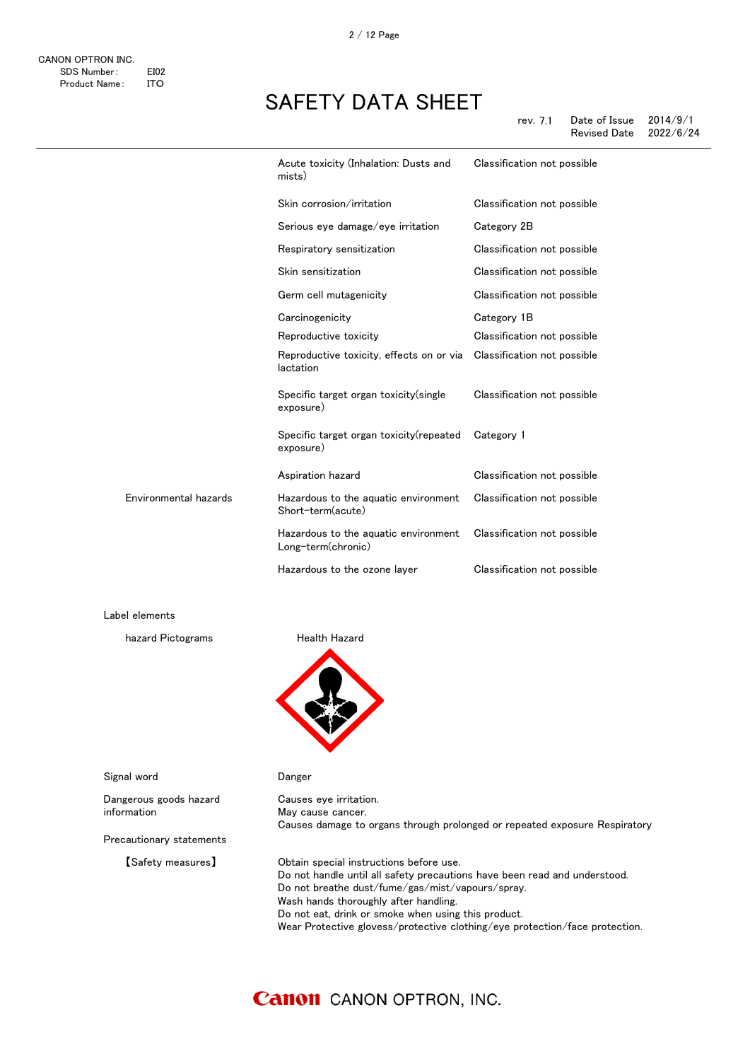|         | Acute toxicity (Inhalation: Dusts and<br>mists)            | Classification not possible |
|---------|------------------------------------------------------------|-----------------------------|
|         | Skin corrosion/irritation                                  | Classification not possible |
|         | Serious eye damage/eye irritation                          | Category 2B                 |
|         | Respiratory sensitization                                  | Classification not possible |
|         | Skin sensitization                                         | Classification not possible |
|         | Germ cell mutagenicity                                     | Classification not possible |
|         | Carcinogenicity                                            | Category 1B                 |
|         | Reproductive toxicity                                      | Classification not possible |
|         | Reproductive toxicity, effects on or via<br>lactation      | Classification not possible |
|         | Specific target organ toxicity (single<br>exposure)        | Classification not possible |
|         | Specific target organ toxicity (repeated<br>exposure)      | Category 1                  |
|         | Aspiration hazard                                          | Classification not possible |
| hazards | Hazardous to the aquatic environment<br>Short-term(acute)  | Classification not possible |
|         | Hazardous to the aquatic environment<br>Long-term(chronic) | Classification not possible |
|         | Hazardous to the ozone layer                               | Classification not possible |

Label elements

hazard Pictograms **Health Hazard** 

Environmental



Causes eye irritation. May cause cancer.

Signal word **Danger** 

Dangerous goods hazard information

Precautionary statements

【Safety measures】 Obtain special instructions before use. Do not handle until all safety precautions have been read and understood. Do not breathe dust/fume/gas/mist/vapours/spray. Wash hands thoroughly after handling. Do not eat, drink or smoke when using this product. Wear Protective glovess/protective clothing/eye protection/face protection.

Causes damage to organs through prolonged or repeated exposure Respiratory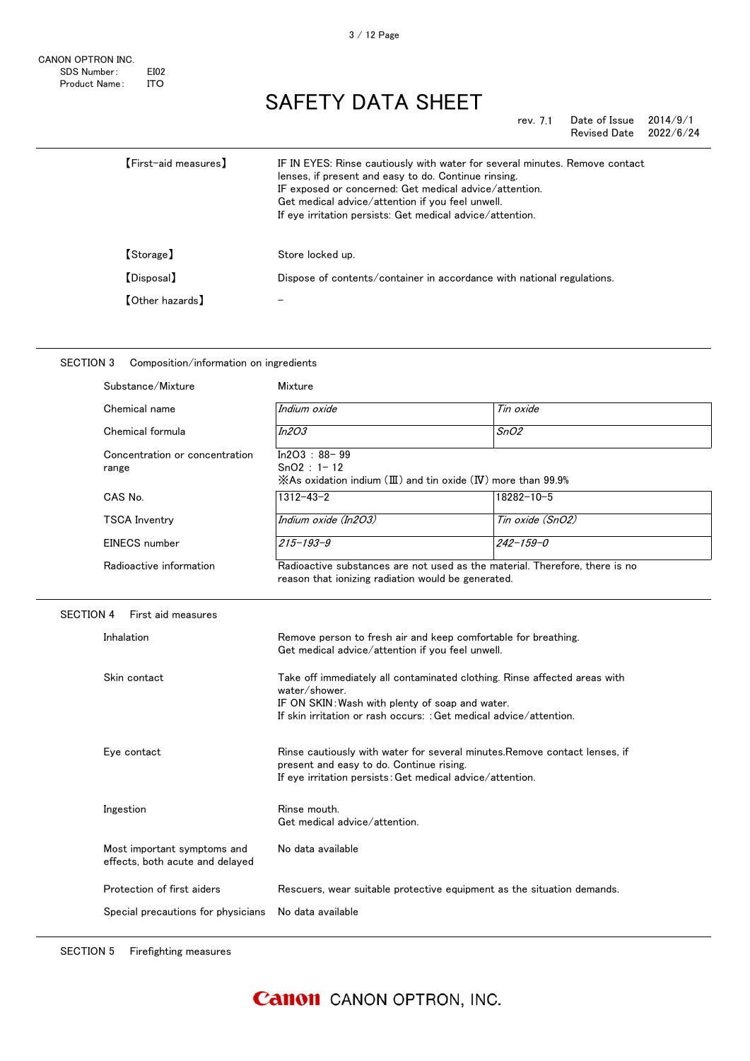rev. 7.1 Date of Issue 2014/9/1<br>Revised Date 2022/6/24 Revised Date

| [First-aid measures]   | IF IN EYES: Rinse cautiously with water for several minutes. Remove contact<br>lenses, if present and easy to do. Continue rinsing.<br>IF exposed or concerned: Get medical advice/attention.<br>Get medical advice/attention if you feel unwell.<br>If eye irritation persists: Get medical advice/attention. |
|------------------------|----------------------------------------------------------------------------------------------------------------------------------------------------------------------------------------------------------------------------------------------------------------------------------------------------------------|
| 【Storage】              | Store locked up.                                                                                                                                                                                                                                                                                               |
| [Disposal]             | Dispose of contents/container in accordance with national regulations.                                                                                                                                                                                                                                         |
| <b>[Other hazards]</b> |                                                                                                                                                                                                                                                                                                                |

| SECTION 3<br>Composition/information on ingredients            |                                                                                                                                                                                                                     |                  |  |
|----------------------------------------------------------------|---------------------------------------------------------------------------------------------------------------------------------------------------------------------------------------------------------------------|------------------|--|
| Substance/Mixture                                              | Mixture                                                                                                                                                                                                             |                  |  |
| Chemical name                                                  | Indium oxide                                                                                                                                                                                                        | Tin oxide        |  |
| Chemical formula                                               | <i>In2O3</i>                                                                                                                                                                                                        | SnO2             |  |
| Concentration or concentration<br>range                        | $In2O3 : 88 - 99$<br>$SnO2 : 1 - 12$<br>$\angle$ As oxidation indium ( $\boxplus$ ) and tin oxide ( $\text{IV}$ ) more than 99.9%                                                                                   |                  |  |
| CAS No.                                                        | $1312 - 43 - 2$                                                                                                                                                                                                     | 18282-10-5       |  |
| <b>TSCA Inventry</b>                                           | Indium oxide (In2O3)                                                                                                                                                                                                | Tin oxide (SnO2) |  |
| EINECS number                                                  | $215 - 193 - 9$                                                                                                                                                                                                     | $242 - 159 - 0$  |  |
| Radioactive information                                        | Radioactive substances are not used as the material. Therefore, there is no<br>reason that ionizing radiation would be generated.                                                                                   |                  |  |
| <b>SECTION 4</b><br>First aid measures                         |                                                                                                                                                                                                                     |                  |  |
| Inhalation                                                     | Remove person to fresh air and keep comfortable for breathing.<br>Get medical advice/attention if you feel unwell.                                                                                                  |                  |  |
| Skin contact                                                   | Take off immediately all contaminated clothing. Rinse affected areas with<br>water/shower.<br>IF ON SKIN: Wash with plenty of soap and water.<br>If skin irritation or rash occurs: : Get medical advice/attention. |                  |  |
| Eye contact                                                    | Rinse cautiously with water for several minutes. Remove contact lenses, if<br>present and easy to do. Continue rising.<br>If eye irritation persists: Get medical advice/attention.                                 |                  |  |
| Ingestion                                                      | Rinse mouth.<br>Get medical advice/attention.                                                                                                                                                                       |                  |  |
| Most important symptoms and<br>effects, both acute and delayed | No data available                                                                                                                                                                                                   |                  |  |
| Protection of first aiders                                     | Rescuers, wear suitable protective equipment as the situation demands.                                                                                                                                              |                  |  |
| Special precautions for physicians                             | No data available                                                                                                                                                                                                   |                  |  |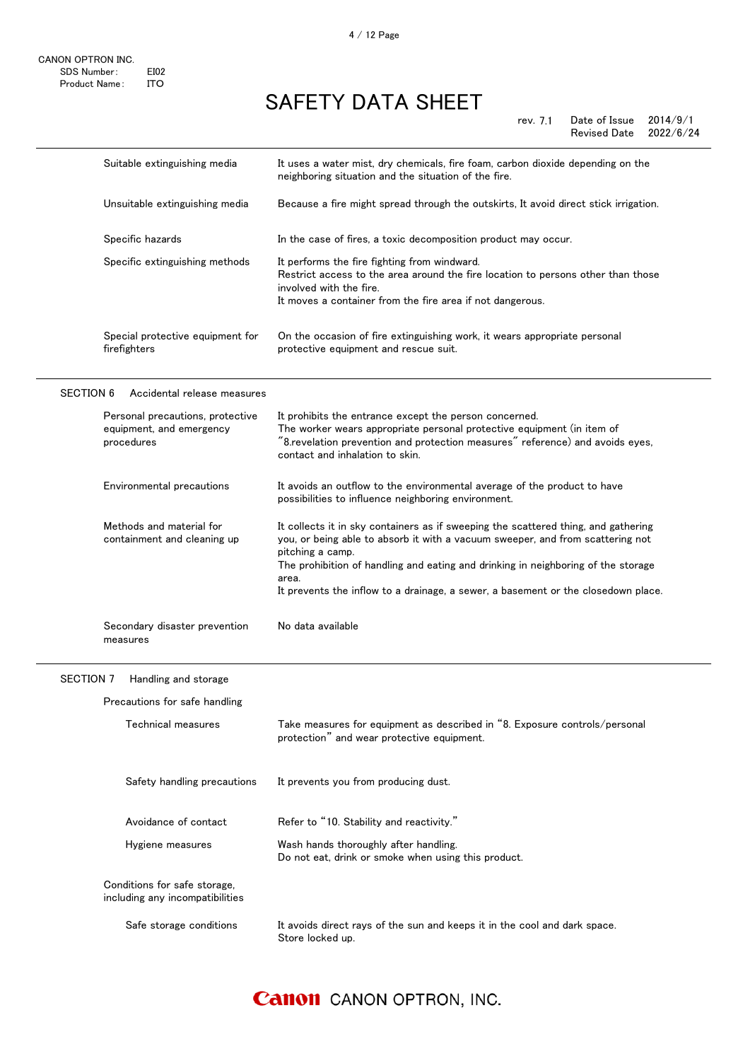|                                                                 | It uses a water mist, dry chemicals, fire foam, carbon dioxide depending on the                                                                                                                                                                                                                                                                                             |
|-----------------------------------------------------------------|-----------------------------------------------------------------------------------------------------------------------------------------------------------------------------------------------------------------------------------------------------------------------------------------------------------------------------------------------------------------------------|
|                                                                 | neighboring situation and the situation of the fire.                                                                                                                                                                                                                                                                                                                        |
| Unsuitable extinguishing media                                  | Because a fire might spread through the outskirts, It avoid direct stick irrigation.                                                                                                                                                                                                                                                                                        |
| Specific hazards                                                | In the case of fires, a toxic decomposition product may occur.                                                                                                                                                                                                                                                                                                              |
| Specific extinguishing methods                                  | It performs the fire fighting from windward.<br>Restrict access to the area around the fire location to persons other than those<br>involved with the fire.<br>It moves a container from the fire area if not dangerous.                                                                                                                                                    |
| Special protective equipment for<br>firefighters                | On the occasion of fire extinguishing work, it wears appropriate personal<br>protective equipment and rescue suit.                                                                                                                                                                                                                                                          |
| Accidental release measures                                     |                                                                                                                                                                                                                                                                                                                                                                             |
| Personal precautions, protective                                | It prohibits the entrance except the person concerned.                                                                                                                                                                                                                                                                                                                      |
| equipment, and emergency<br>procedures                          | The worker wears appropriate personal protective equipment (in item of<br>"8.revelation prevention and protection measures" reference) and avoids eyes,<br>contact and inhalation to skin.                                                                                                                                                                                  |
| Environmental precautions                                       | It avoids an outflow to the environmental average of the product to have<br>possibilities to influence neighboring environment.                                                                                                                                                                                                                                             |
| Methods and material for<br>containment and cleaning up         | It collects it in sky containers as if sweeping the scattered thing, and gathering<br>you, or being able to absorb it with a vacuum sweeper, and from scattering not<br>pitching a camp.<br>The prohibition of handling and eating and drinking in neighboring of the storage<br>area.<br>It prevents the inflow to a drainage, a sewer, a basement or the closedown place. |
| Secondary disaster prevention<br>measures                       | No data available                                                                                                                                                                                                                                                                                                                                                           |
| Handling and storage                                            |                                                                                                                                                                                                                                                                                                                                                                             |
| Precautions for safe handling                                   |                                                                                                                                                                                                                                                                                                                                                                             |
| <b>Technical measures</b>                                       | Take measures for equipment as described in "8. Exposure controls/personal<br>protection" and wear protective equipment.                                                                                                                                                                                                                                                    |
| Safety handling precautions                                     | It prevents you from producing dust.                                                                                                                                                                                                                                                                                                                                        |
| Avoidance of contact                                            | Refer to "10. Stability and reactivity."                                                                                                                                                                                                                                                                                                                                    |
| Hygiene measures                                                | Wash hands thoroughly after handling.<br>Do not eat, drink or smoke when using this product.                                                                                                                                                                                                                                                                                |
| Conditions for safe storage,<br>including any incompatibilities |                                                                                                                                                                                                                                                                                                                                                                             |
| Safe storage conditions                                         | It avoids direct rays of the sun and keeps it in the cool and dark space.<br>Store locked up.                                                                                                                                                                                                                                                                               |
|                                                                 | Suitable extinguishing media                                                                                                                                                                                                                                                                                                                                                |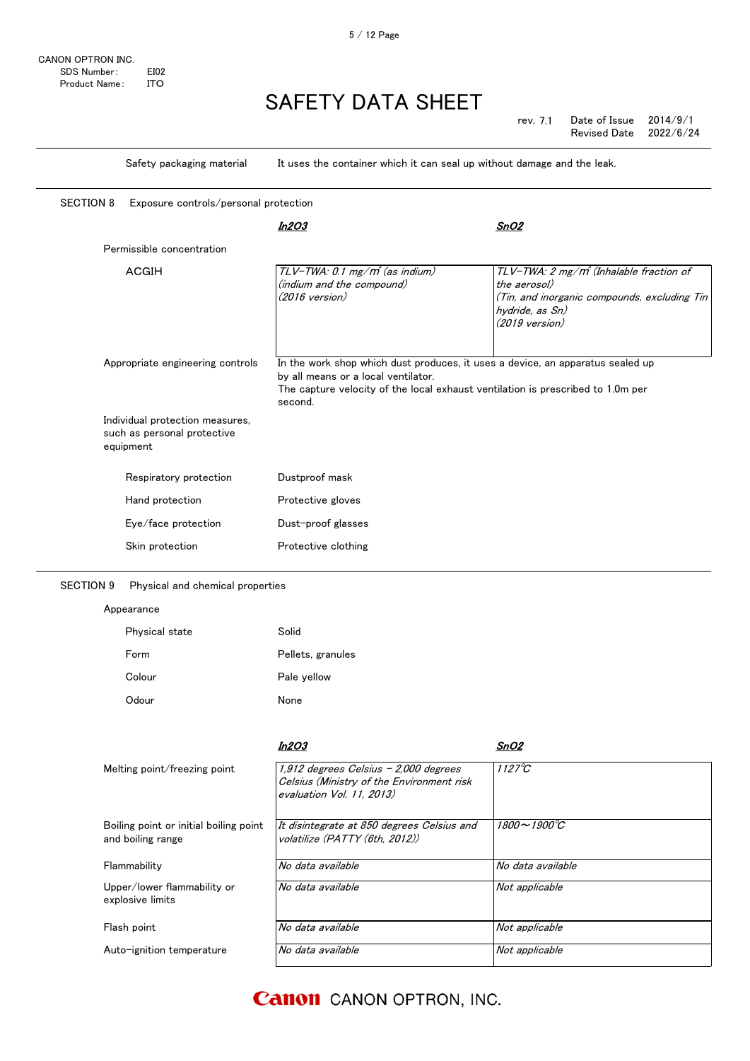|                                                                             |                                  | Safety packaging material             | It uses the container which it can seal up without damage and the leak.                                                                                                                                             |                                                                                                                                                                    |
|-----------------------------------------------------------------------------|----------------------------------|---------------------------------------|---------------------------------------------------------------------------------------------------------------------------------------------------------------------------------------------------------------------|--------------------------------------------------------------------------------------------------------------------------------------------------------------------|
|                                                                             | <b>SECTION 8</b>                 | Exposure controls/personal protection |                                                                                                                                                                                                                     |                                                                                                                                                                    |
|                                                                             |                                  |                                       | In2O3                                                                                                                                                                                                               | SnO2                                                                                                                                                               |
|                                                                             |                                  | Permissible concentration             |                                                                                                                                                                                                                     |                                                                                                                                                                    |
|                                                                             |                                  | <b>ACGIH</b>                          | TLV-TWA: 0.1 mg/m <sup>3</sup> (as indium)<br>(indium and the compound)<br>$(2016 \text{ version})$                                                                                                                 | TLV-TWA: 2 mg/m <sup>3</sup> (Inhalable fraction of<br>the aerosol)<br>(Tin, and inorganic compounds, excluding Tin<br>hydride, as Sn)<br>$(2019 \text{ version})$ |
|                                                                             | Appropriate engineering controls |                                       | In the work shop which dust produces, it uses a device, an apparatus sealed up<br>by all means or a local ventilator.<br>The capture velocity of the local exhaust ventilation is prescribed to 1.0m per<br>second. |                                                                                                                                                                    |
| Individual protection measures,<br>such as personal protective<br>equipment |                                  |                                       |                                                                                                                                                                                                                     |                                                                                                                                                                    |
|                                                                             |                                  | Respiratory protection                | Dustproof mask                                                                                                                                                                                                      |                                                                                                                                                                    |
|                                                                             |                                  | Hand protection                       | Protective gloves                                                                                                                                                                                                   |                                                                                                                                                                    |
|                                                                             |                                  | Eye/face protection                   | Dust-proof glasses                                                                                                                                                                                                  |                                                                                                                                                                    |
|                                                                             |                                  | Skin protection                       | Protective clothing                                                                                                                                                                                                 |                                                                                                                                                                    |
|                                                                             |                                  |                                       |                                                                                                                                                                                                                     |                                                                                                                                                                    |

SECTION 9 Physical and chemical properties

### Appearance

| Physical state | Solid             |
|----------------|-------------------|
| Form           | Pellets, granules |
| Colour         | Pale yellow       |
| Odour          | None              |

|                                                             | In2O3                                                                                                           | SnO2                   |
|-------------------------------------------------------------|-----------------------------------------------------------------------------------------------------------------|------------------------|
| Melting point/freezing point                                | 1,912 degrees Celsius - 2,000 degrees<br>Celsius (Ministry of the Environment risk<br>evaluation Vol. 11, 2013) | $1127^{\circ}C$        |
| Boiling point or initial boiling point<br>and boiling range | It disintegrate at 850 degrees Celsius and<br>volatilize (PATTY (6th. 2012))                                    | $1800 - 1900^{\circ}C$ |
| Flammability                                                | No data available                                                                                               | No data available      |
| Upper/lower flammability or<br>explosive limits             | No data available                                                                                               | Not applicable         |
| Flash point                                                 | No data available                                                                                               | Not applicable         |
| Auto-ignition temperature                                   | No data available                                                                                               | Not applicable         |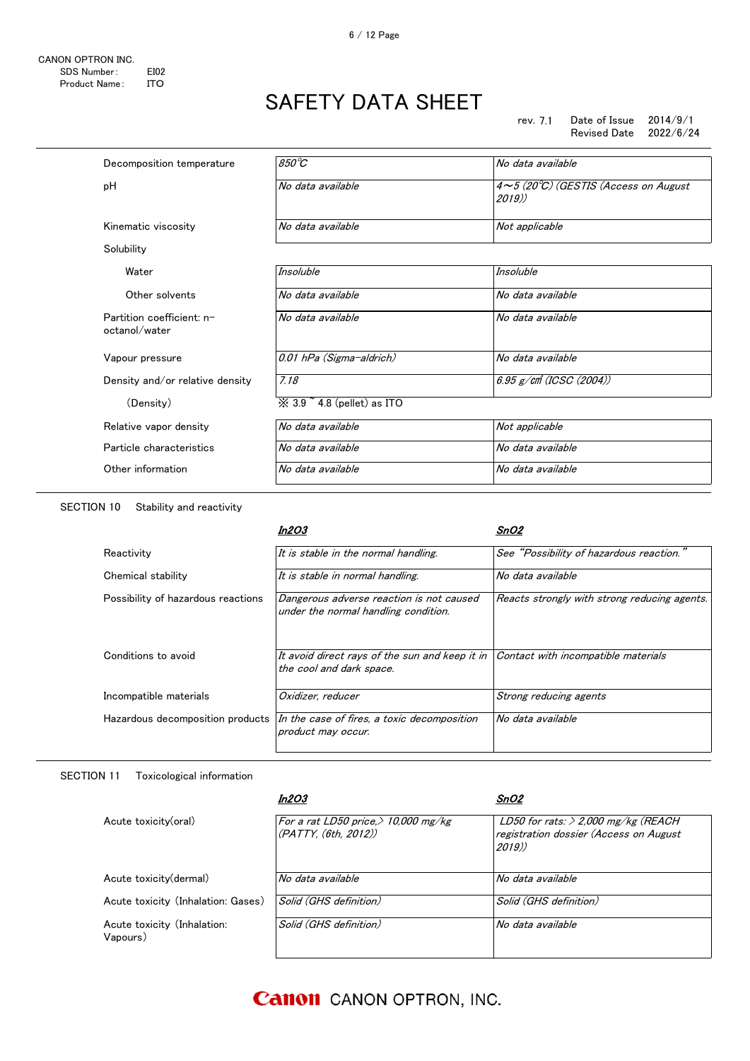| Decomposition temperature                  | 850°C                                  | No data available                                     |
|--------------------------------------------|----------------------------------------|-------------------------------------------------------|
| рH                                         | No data available                      | $4 \sim 5$ (20°C) (GESTIS (Access on August<br>2019)) |
| Kinematic viscosity                        | No data available                      | Not applicable                                        |
| Solubility                                 |                                        |                                                       |
| Water                                      | Insoluble                              | Insoluble                                             |
| Other solvents                             | No data available                      | No data available                                     |
| Partition coefficient: n-<br>octanol/water | No data available                      | No data available                                     |
| Vapour pressure                            | 0.01 hPa (Sigma-aldrich)               | No data available                                     |
| Density and/or relative density            | 7.18                                   | $6.95$ g/cm (ICSC (2004))                             |
| (Density)                                  | $\%$ 3.9 $\degree$ 4.8 (pellet) as ITO |                                                       |
| Relative vapor density                     | No data available                      | Not applicable                                        |
| Particle characteristics                   | No data available                      | No data available                                     |
| Other information                          | No data available                      | No data available                                     |
|                                            |                                        |                                                       |

SECTIO

|                                    | In2O3                                                                            | SnO2                                         |
|------------------------------------|----------------------------------------------------------------------------------|----------------------------------------------|
| Reactivity                         | It is stable in the normal handling.                                             | See "Possibility of hazardous reaction."     |
| Chemical stability                 | It is stable in normal handling.                                                 | No data available                            |
| Possibility of hazardous reactions | Dangerous adverse reaction is not caused<br>under the normal handling condition. | Reacts strongly with strong reducing agents. |
| Conditions to avoid                | It avoid direct rays of the sun and keep it in<br>the cool and dark space.       | Contact with incompatible materials          |
| Incompatible materials             | Oxidizer, reducer                                                                | Strong reducing agents                       |
| Hazardous decomposition products   | In the case of fires, a toxic decomposition<br>product may occur.                | No data available                            |

SECTION 11 Toxicological information

|                                         | In2O3                                                          | SnO2                                                                                     |
|-----------------------------------------|----------------------------------------------------------------|------------------------------------------------------------------------------------------|
| Acute toxicity(oral)                    | For a rat LD50 price, $> 10,000$ mg/kg<br>(PATTY, (6th, 2012)) | LD50 for rats: $>$ 2,000 mg/kg (REACH<br>registration dossier (Access on August<br>2019) |
| Acute toxicity (dermal)                 | No data available                                              | No data available                                                                        |
| Acute toxicity (Inhalation: Gases)      | Solid (GHS definition)                                         | Solid (GHS definition)                                                                   |
| Acute toxicity (Inhalation:<br>Vapours) | Solid (GHS definition)                                         | No data available                                                                        |
|                                         |                                                                |                                                                                          |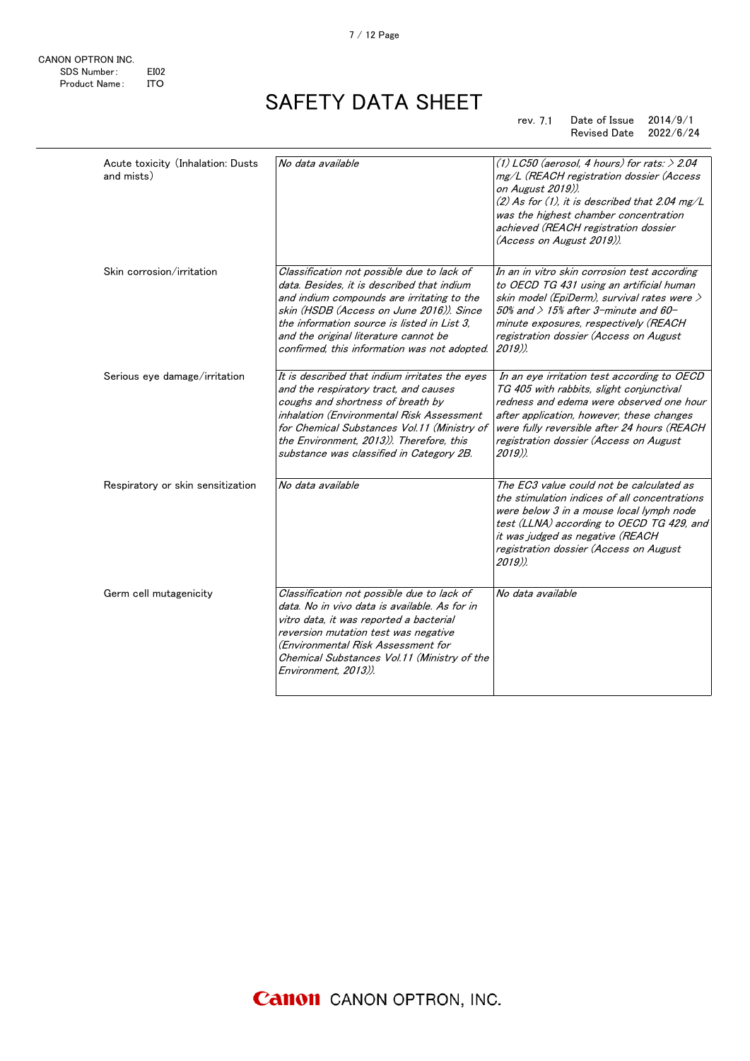| Acute toxicity (Inhalation: Dusts<br>and mists) | No data available                                                                                                                                                                                                                                                                                                          | (1) LC50 (aerosol, 4 hours) for rats: $> 2.04$<br>mg/L (REACH registration dossier (Access<br>on August 2019)).<br>$(2)$ As for (1), it is described that 2.04 mg/L<br>was the highest chamber concentration<br>achieved (REACH registration dossier<br>(Access on August 2019)).          |
|-------------------------------------------------|----------------------------------------------------------------------------------------------------------------------------------------------------------------------------------------------------------------------------------------------------------------------------------------------------------------------------|--------------------------------------------------------------------------------------------------------------------------------------------------------------------------------------------------------------------------------------------------------------------------------------------|
| Skin corrosion/irritation                       | Classification not possible due to lack of<br>data. Besides, it is described that indium<br>and indium compounds are irritating to the<br>skin (HSDB (Access on June 2016)). Since<br>the information source is listed in List 3.<br>and the original literature cannot be<br>confirmed, this information was not adopted. | In an in vitro skin corrosion test according<br>to OECD TG 431 using an artificial human<br>skin model (EpiDerm), survival rates were $\geq$<br>$50\%$ and $> 15\%$ after 3-minute and 60-<br>minute exposures, respectively (REACH<br>registration dossier (Access on August<br>$2019$ ). |
| Serious eye damage/irritation                   | It is described that indium irritates the eyes<br>and the respiratory tract, and causes<br>coughs and shortness of breath by<br>inhalation (Environmental Risk Assessment<br>for Chemical Substances Vol.11 (Ministry of<br>the Environment, 2013)). Therefore, this<br>substance was classified in Category 2B.           | In an eye irritation test according to OECD<br>TG 405 with rabbits, slight conjunctival<br>redness and edema were observed one hour<br>after application, however, these changes<br>were fully reversible after 24 hours (REACH<br>registration dossier (Access on August<br>$2019$ ).     |
| Respiratory or skin sensitization               | No data available                                                                                                                                                                                                                                                                                                          | The EC3 value could not be calculated as<br>the stimulation indices of all concentrations<br>were below 3 in a mouse local lymph node<br>test (LLNA) according to OECD TG 429, and<br>it was judged as negative (REACH<br>registration dossier (Access on August<br>$2019$ ).              |
| Germ cell mutagenicity                          | Classification not possible due to lack of<br>data. No in vivo data is available. As for in<br>vitro data, it was reported a bacterial<br>reversion mutation test was negative<br>(Environmental Risk Assessment for<br>Chemical Substances Vol.11 (Ministry of the<br>Environment. 2013)).                                | No data available                                                                                                                                                                                                                                                                          |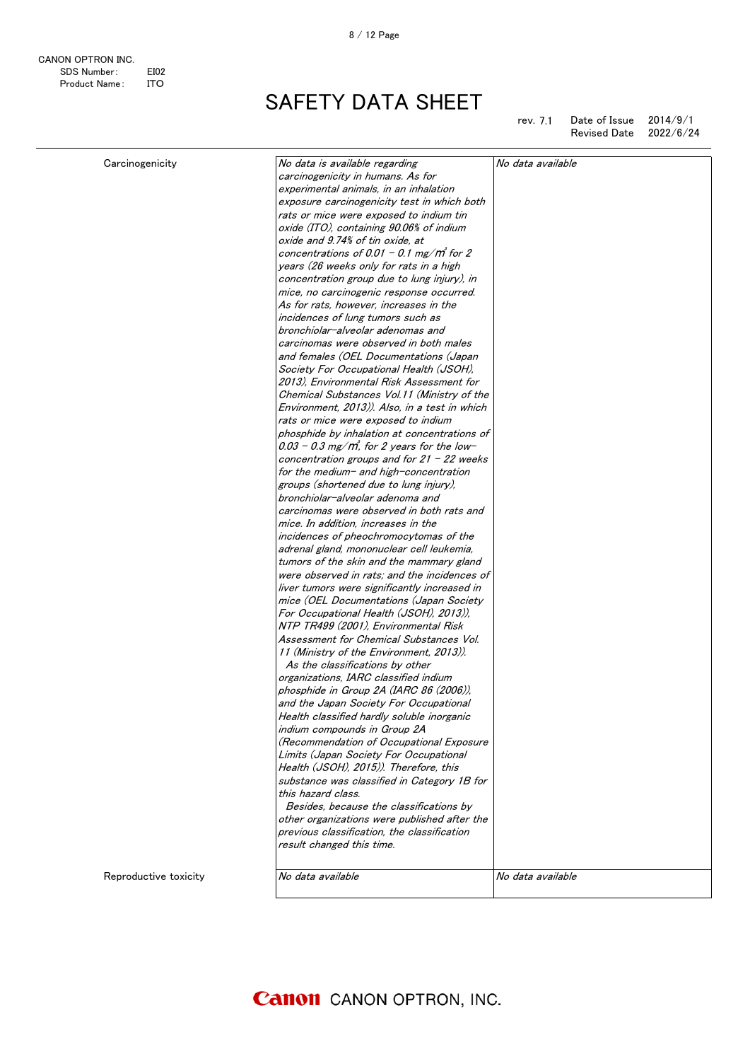rev. 7.1 rev. Date of Issue 2014/9/1 Revised Date 2022/6/24

| Carcinogenicity       | No data is available regarding                | No data available |
|-----------------------|-----------------------------------------------|-------------------|
|                       | carcinogenicity in humans. As for             |                   |
|                       | experimental animals, in an inhalation        |                   |
|                       | exposure carcinogenicity test in which both   |                   |
|                       | rats or mice were exposed to indium tin       |                   |
|                       | oxide (ITO), containing 90.06% of indium      |                   |
|                       | oxide and 9.74% of tin oxide, at              |                   |
|                       | concentrations of 0.01 - 0.1 mg/m for 2       |                   |
|                       | years (26 weeks only for rats in a high       |                   |
|                       | concentration group due to lung injury), in   |                   |
|                       | mice, no carcinogenic response occurred.      |                   |
|                       | As for rats, however, increases in the        |                   |
|                       | incidences of lung tumors such as             |                   |
|                       | bronchiolar-alveolar adenomas and             |                   |
|                       | carcinomas were observed in both males        |                   |
|                       | and females (OEL Documentations (Japan        |                   |
|                       | Society For Occupational Health (JSOH),       |                   |
|                       | 2013), Environmental Risk Assessment for      |                   |
|                       | Chemical Substances Vol.11 (Ministry of the   |                   |
|                       | Environment, 2013)). Also, in a test in which |                   |
|                       | rats or mice were exposed to indium           |                   |
|                       | phosphide by inhalation at concentrations of  |                   |
|                       | $0.03$ – 0.3 mg/m, for 2 years for the low-   |                   |
|                       | concentration groups and for $21 - 22$ weeks  |                   |
|                       | for the medium- and high-concentration        |                   |
|                       | groups (shortened due to lung injury),        |                   |
|                       | bronchiolar-alveolar adenoma and              |                   |
|                       | carcinomas were observed in both rats and     |                   |
|                       | mice. In addition, increases in the           |                   |
|                       | incidences of pheochromocytomas of the        |                   |
|                       | adrenal gland, mononuclear cell leukemia,     |                   |
|                       | tumors of the skin and the mammary gland      |                   |
|                       | were observed in rats; and the incidences of  |                   |
|                       | liver tumors were significantly increased in  |                   |
|                       | mice (OEL Documentations (Japan Society       |                   |
|                       | For Occupational Health (JSOH), 2013)),       |                   |
|                       | NTP TR499 (2001), Environmental Risk          |                   |
|                       | Assessment for Chemical Substances Vol.       |                   |
|                       | 11 (Ministry of the Environment, 2013)).      |                   |
|                       | As the classifications by other               |                   |
|                       | organizations, IARC classified indium         |                   |
|                       | phosphide in Group 2A (IARC 86 (2006)),       |                   |
|                       | and the Japan Society For Occupational        |                   |
|                       | Health classified hardly soluble inorganic    |                   |
|                       | indium compounds in Group 2A                  |                   |
|                       | (Recommendation of Occupational Exposure      |                   |
|                       | Limits (Japan Society For Occupational        |                   |
|                       | Health (JSOH), 2015)). Therefore, this        |                   |
|                       | substance was classified in Category 1B for   |                   |
|                       | this hazard class.                            |                   |
|                       | Besides, because the classifications by       |                   |
|                       |                                               |                   |
|                       | other organizations were published after the  |                   |
|                       | previous classification, the classification   |                   |
|                       | result changed this time.                     |                   |
|                       |                                               |                   |
| Reproductive toxicity | No data available                             | No data available |
|                       |                                               |                   |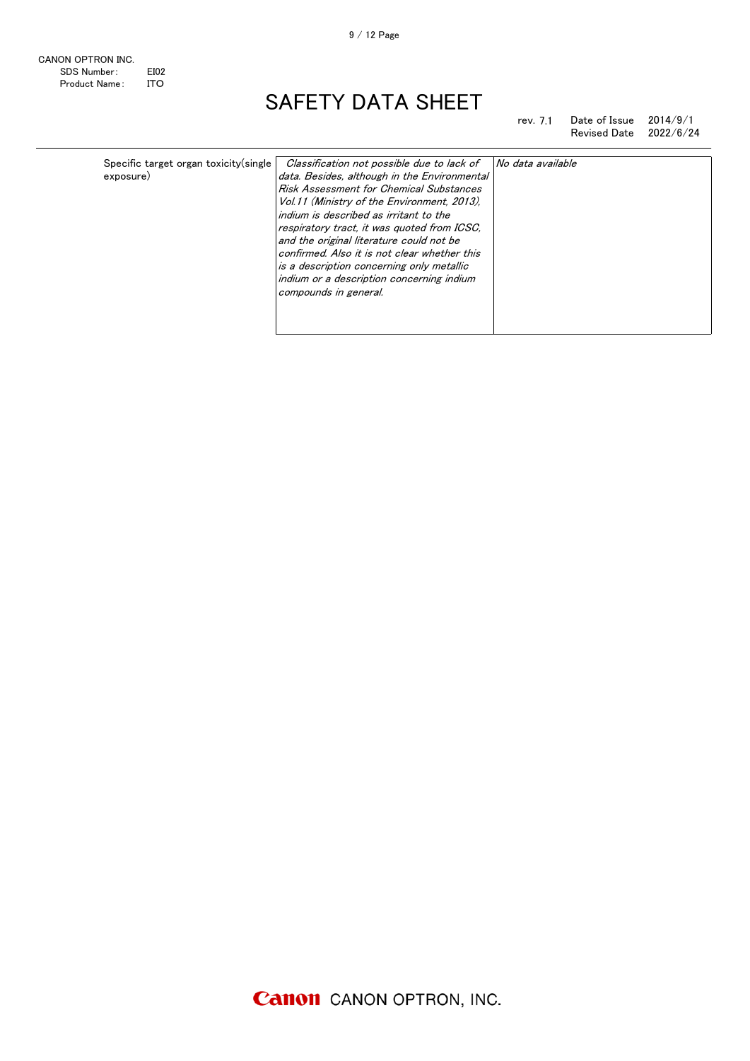rev. 7.1 Revised Date 2022/6/24

| Specific target organ toxicity (single | Classification not possible due to lack of   | No data available |
|----------------------------------------|----------------------------------------------|-------------------|
| exposure)                              | data. Besides, although in the Environmental |                   |
|                                        | Risk Assessment for Chemical Substances      |                   |
|                                        | Vol.11 (Ministry of the Environment, 2013).  |                   |
|                                        | indium is described as irritant to the       |                   |
|                                        | respiratory tract, it was quoted from ICSC.  |                   |
|                                        | and the original literature could not be     |                   |
|                                        | confirmed. Also it is not clear whether this |                   |
|                                        | is a description concerning only metallic    |                   |
|                                        | indium or a description concerning indium    |                   |
|                                        | compounds in general.                        |                   |
|                                        |                                              |                   |
|                                        |                                              |                   |

Date of Issue 2014/9/1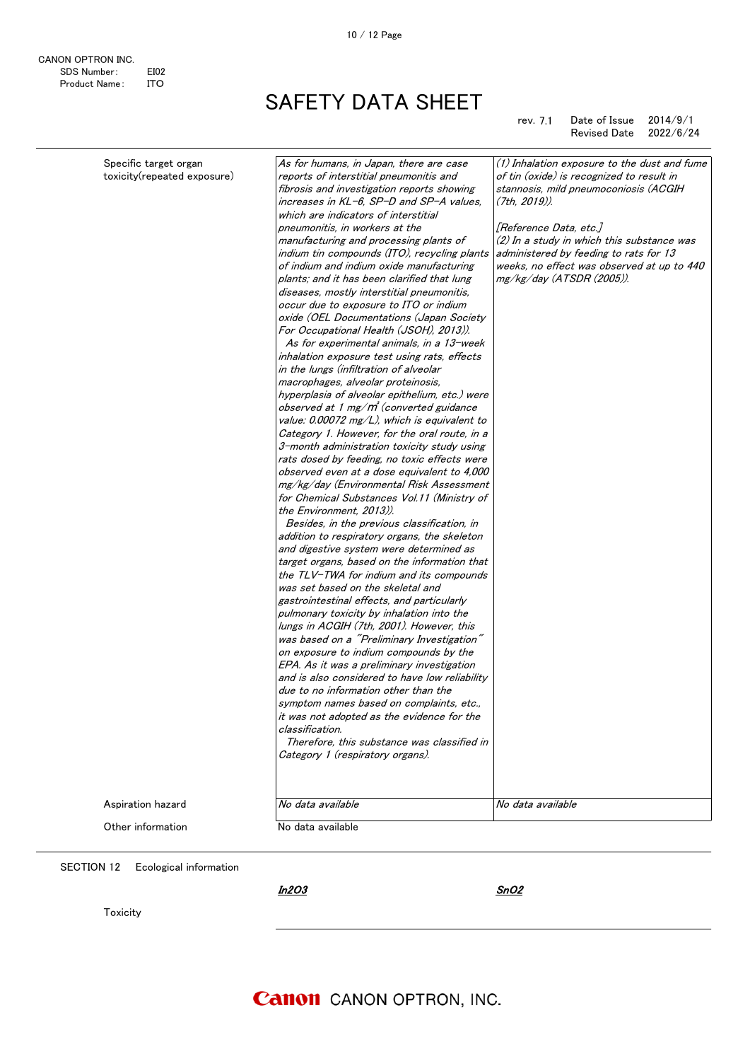#### rev. 7.1 Date of Issue 2014/9/1 Revised Date 2022/6/24

| For Occupational Health (JSOH), 2013)).<br>As for experimental animals, in a 13-week<br>inhalation exposure test using rats, effects<br>in the lungs (infiltration of alveolar<br>macrophages, alveolar proteinosis,<br>hyperplasia of alveolar epithelium, etc.) were<br>observed at 1 mg/ $m$ <sup>'</sup> (converted guidance<br>value: 0.00072 mg/L), which is equivalent to<br>Category 1. However, for the oral route, in a<br>3-month administration toxicity study using<br>rats dosed by feeding, no toxic effects were<br>observed even at a dose equivalent to 4,000<br>mg/kg/day (Environmental Risk Assessment<br>for Chemical Substances Vol.11 (Ministry of<br>the Environment, 2013)).<br>Besides, in the previous classification, in<br>addition to respiratory organs, the skeleton<br>and digestive system were determined as<br>target organs, based on the information that<br>the $TLV$ -TWA for indium and its compounds<br>was set based on the skeletal and<br>gastrointestinal effects, and particularly<br>pulmonary toxicity by inhalation into the<br>lungs in ACGIH (7th, 2001). However, this<br>was based on a "Preliminary Investigation"<br>on exposure to indium compounds by the<br>EPA. As it was a preliminary investigation<br>and is also considered to have low reliability<br>due to no information other than the<br>symptom names based on complaints, etc.,<br>it was not adopted as the evidence for the<br>classification.<br>Therefore, this substance was classified in<br>Category 1 (respiratory organs).<br>Aspiration hazard<br>No data available<br>No data available | Specific target organ<br>toxicity(repeated exposure) | As for humans, in Japan, there are case<br>reports of interstitial pneumonitis and<br>fibrosis and investigation reports showing<br>increases in KL-6, SP-D and SP-A values,<br>which are indicators of interstitial<br>pneumonitis, in workers at the<br>manufacturing and processing plants of<br>indium tin compounds (ITO), recycling plants<br>of indium and indium oxide manufacturing<br>plants; and it has been clarified that lung<br>diseases, mostly interstitial pneumonitis,<br>occur due to exposure to ITO or indium<br>oxide (OEL Documentations (Japan Society | (1) Inhalation exposure to the dust and fume<br>of tin (oxide) is recognized to result in<br>stannosis, mild pneumoconiosis (ACGIH<br>$(7th, 2019)$ ).<br>[Reference Data, etc.]<br>$(2)$ In a study in which this substance was<br>administered by feeding to rats for 13<br>weeks, no effect was observed at up to 440<br>mg/kg/day (ATSDR (2005)). |
|-----------------------------------------------------------------------------------------------------------------------------------------------------------------------------------------------------------------------------------------------------------------------------------------------------------------------------------------------------------------------------------------------------------------------------------------------------------------------------------------------------------------------------------------------------------------------------------------------------------------------------------------------------------------------------------------------------------------------------------------------------------------------------------------------------------------------------------------------------------------------------------------------------------------------------------------------------------------------------------------------------------------------------------------------------------------------------------------------------------------------------------------------------------------------------------------------------------------------------------------------------------------------------------------------------------------------------------------------------------------------------------------------------------------------------------------------------------------------------------------------------------------------------------------------------------------------------------------------------------------------------|------------------------------------------------------|---------------------------------------------------------------------------------------------------------------------------------------------------------------------------------------------------------------------------------------------------------------------------------------------------------------------------------------------------------------------------------------------------------------------------------------------------------------------------------------------------------------------------------------------------------------------------------|-------------------------------------------------------------------------------------------------------------------------------------------------------------------------------------------------------------------------------------------------------------------------------------------------------------------------------------------------------|
|                                                                                                                                                                                                                                                                                                                                                                                                                                                                                                                                                                                                                                                                                                                                                                                                                                                                                                                                                                                                                                                                                                                                                                                                                                                                                                                                                                                                                                                                                                                                                                                                                             |                                                      |                                                                                                                                                                                                                                                                                                                                                                                                                                                                                                                                                                                 |                                                                                                                                                                                                                                                                                                                                                       |
|                                                                                                                                                                                                                                                                                                                                                                                                                                                                                                                                                                                                                                                                                                                                                                                                                                                                                                                                                                                                                                                                                                                                                                                                                                                                                                                                                                                                                                                                                                                                                                                                                             |                                                      |                                                                                                                                                                                                                                                                                                                                                                                                                                                                                                                                                                                 |                                                                                                                                                                                                                                                                                                                                                       |
|                                                                                                                                                                                                                                                                                                                                                                                                                                                                                                                                                                                                                                                                                                                                                                                                                                                                                                                                                                                                                                                                                                                                                                                                                                                                                                                                                                                                                                                                                                                                                                                                                             | Other information                                    | No data available                                                                                                                                                                                                                                                                                                                                                                                                                                                                                                                                                               |                                                                                                                                                                                                                                                                                                                                                       |

SECTION 12 Ecological information

In2O3

SnO2

Toxicity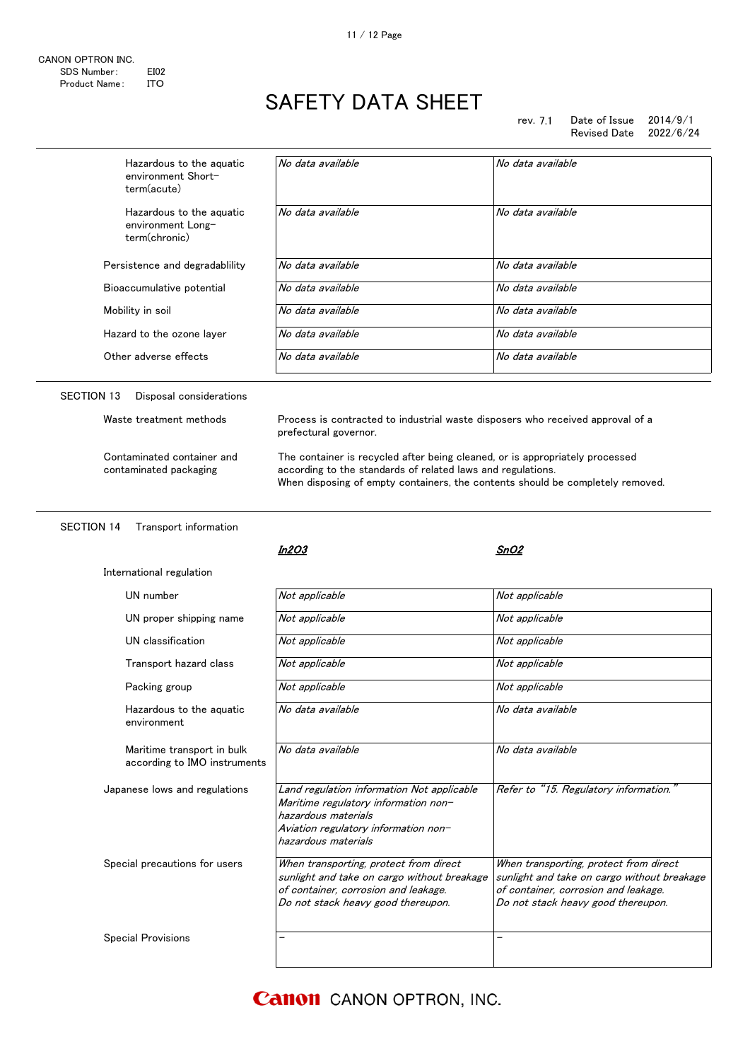rev. 7.1 Date of Issue 2014/9/1<br>Revised Date 2022/6/24 Revised Date

| Hazardous to the aquatic<br>environment Short-<br>term(acute)           | No data available                                                                                                                                                                                                             | No data available                                                                                                                                                   |
|-------------------------------------------------------------------------|-------------------------------------------------------------------------------------------------------------------------------------------------------------------------------------------------------------------------------|---------------------------------------------------------------------------------------------------------------------------------------------------------------------|
| Hazardous to the aquatic<br>environment Long-<br>term(chronic)          | No data available                                                                                                                                                                                                             | No data available                                                                                                                                                   |
| Persistence and degradablility                                          | No data available                                                                                                                                                                                                             | No data available                                                                                                                                                   |
| Bioaccumulative potential                                               | No data available                                                                                                                                                                                                             | No data available                                                                                                                                                   |
| Mobility in soil                                                        | No data available                                                                                                                                                                                                             | No data available                                                                                                                                                   |
| Hazard to the ozone layer                                               | No data available                                                                                                                                                                                                             | No data available                                                                                                                                                   |
| Other adverse effects                                                   | No data available                                                                                                                                                                                                             | No data available                                                                                                                                                   |
| <b>SECTION 13</b><br>Disposal considerations<br>Waste treatment methods | Process is contracted to industrial waste disposers who received approval of a<br>prefectural governor.                                                                                                                       |                                                                                                                                                                     |
| Contaminated container and<br>contaminated packaging                    | The container is recycled after being cleaned, or is appropriately processed<br>according to the standards of related laws and regulations.<br>When disposing of empty containers, the contents should be completely removed. |                                                                                                                                                                     |
| <b>SECTION 14</b><br>Transport information                              |                                                                                                                                                                                                                               |                                                                                                                                                                     |
|                                                                         | In2O3                                                                                                                                                                                                                         | SnO2                                                                                                                                                                |
|                                                                         |                                                                                                                                                                                                                               |                                                                                                                                                                     |
| International regulation                                                |                                                                                                                                                                                                                               |                                                                                                                                                                     |
| UN number                                                               | Not applicable                                                                                                                                                                                                                | Not applicable                                                                                                                                                      |
| UN proper shipping name                                                 | Not applicable                                                                                                                                                                                                                | Not applicable                                                                                                                                                      |
| UN classification                                                       | Not applicable                                                                                                                                                                                                                | Not applicable                                                                                                                                                      |
| Transport hazard class                                                  | Not applicable                                                                                                                                                                                                                | Not applicable                                                                                                                                                      |
| Packing group                                                           | Not applicable                                                                                                                                                                                                                | Not applicable                                                                                                                                                      |
| Hazardous to the aguatic<br>environment                                 | No data available                                                                                                                                                                                                             | No data available                                                                                                                                                   |
| Maritime transport in bulk<br>according to IMO instruments              | No data available                                                                                                                                                                                                             | No data available                                                                                                                                                   |
| Japanese lows and regulations                                           | Land regulation information Not applicable<br>Maritime regulatory information non-<br>hazardous materials<br>Aviation regulatory information non-<br>hazardous materials                                                      | Refer to "15. Regulatory information."                                                                                                                              |
| Special precautions for users                                           | When transporting, protect from direct<br>sunlight and take on cargo without breakage<br>of container, corrosion and leakage.<br>Do not stack heavy good thereupon.                                                           | When transporting, protect from direct<br>sunlight and take on cargo without breakage<br>of container, corrosion and leakage.<br>Do not stack heavy good thereupon. |